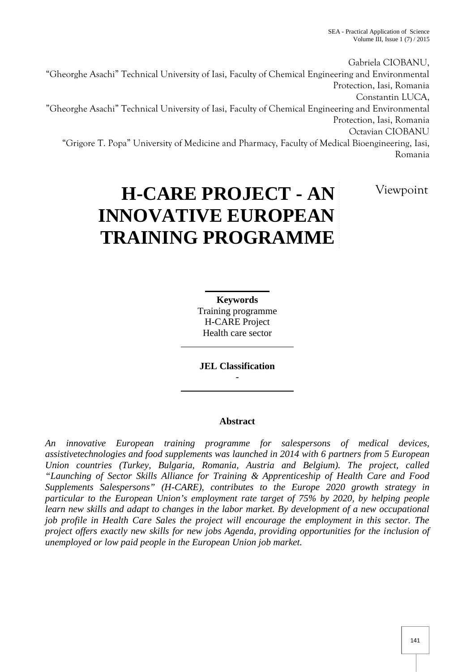Gabriela CIOBANU, "Gheorghe Asachi" Technical University of Iasi, Faculty of Chemical Engineering and Environmental Protection, Iasi, Romania Constantin LUCA, "Gheorghe Asachi" Technical University of Iasi, Faculty of Chemical Engineering and Environmental Protection, Iasi, Romania Octavian CIOBANU "Grigore T. Popa" University of Medicine and Pharmacy, Faculty of Medical Bioengineering, Iasi, Romania

Viewpoint

# **H-CARE PROJECT - AN INNOVATIVE EUROPEAN TRAINING PROGRAMME**

**Keywords** Training programme H-CARE Project Health care sector

**JEL Classification**

-

## **Abstract**

*An innovative European training programme for salespersons of medical devices, assistivetechnologies and food supplements was launched in 2014 with 6 partners from 5 European Union countries (Turkey, Bulgaria, Romania, Austria and Belgium). The project, called "Launching of Sector Skills Alliance for Training & Apprenticeship of Health Care and Food Supplements Salespersons" (H-CARE), contributes to the Europe 2020 growth strategy in particular to the European Union's employment rate target of 75% by 2020, by helping people learn new skills and adapt to changes in the labor market. By development of a new occupational job profile in Health Care Sales the project will encourage the employment in this sector. The project offers exactly new skills for new jobs Agenda, providing opportunities for the inclusion of unemployed or low paid people in the European Union job market.*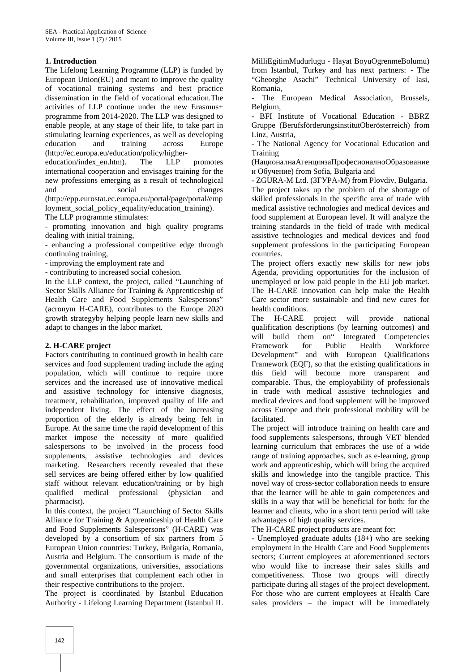#### **1. Introduction**

The Lifelong Learning Programme (LLP) is funded by European Union(EU) and meant to improve the quality of vocational training systems and best practice dissemination in the field of vocational education.The activities of LLP continue under the new Erasmus+ programme from 2014-2020. The LLP was designed to enable people, at any stage of their life, to take part in stimulating learning experiences, as well as developing education and training across Europe (http://ec.europa.eu/education/policy/higher education/index\_en.htm). The LLP promotes international cooperation and envisages training for the new professions emerging as a result of technological and social changes (http://epp.eurostat.ec.europa.eu/portal/page/portal/emp

loyment social policy equality/education training). The LLP programme stimulates:

- promoting innovation and high quality programs dealing with initial training,

- enhancing a professional competitive edge through continuing training,

- improving the employment rate and

- contributing to increased social cohesion.

In the LLP context, the project, called "Launching of Sector Skills Alliance for Training & Apprenticeship of Health Care and Food Supplements Salespersons" (acronym H-CARE), contributes to the Europe 2020 growth strategyby helping people learn new skills and adapt to changes in the labor market.

#### **2. H-CARE project**

Factors contributing to continued growth in health care services and food supplement trading include the aging population, which will continue to require more services and the increased use of innovative medical and assistive technology for intensive diagnosis, treatment, rehabilitation, improved quality of life and independent living. The effect of the increasing proportion of the elderly is already being felt in Europe. At the same time the rapid development of this market impose the necessity of more qualified salespersons to be involved in the process food supplements, assistive technologies and devices marketing. Researchers recently revealed that these sell services are being offered either by low qualified staff without relevant education/training or by high qualified medical professional (physician and pharmacist).

In this context, the project "Launching of Sector Skills Alliance for Training & Apprenticeship of Health Care and Food Supplements Salespersons" (H-CARE) was developed by a consortium of six partners from 5 European Union countries: Turkey, Bulgaria, Romania, Austria and Belgium. The consortium is made of the governmental organizations, universities, associations and small enterprises that complement each other in their respective contributions to the project.

The project is coordinated by Istanbul Education Authority - Lifelong Learning Department (Istanbul IL MilliEgitimMudurlugu - Hayat BoyuOgrenmeBolumu) from Istanbul, Turkey and has next partners: - The "Gheorghe Asachi" Technical University of Iasi, Romania,

The European Medical Association, Brussels, Belgium,

- BFI Institute of Vocational Education - BBRZ Gruppe (BerufsförderungsinstitutOberösterreich) from Linz, Austria,

- The National Agency for Vocational Education and Training

 $($ 

#### ) from Sofia, Bulgaria and

- ZGURA-M Ltd. (Subsetequence 1 of From Plovdiv, Bulgaria. The project takes up the problem of the shortage of skilled professionals in the specific area of trade with medical assistive technologies and medical devices and food supplement at European level. It will analyze the training standards in the field of trade with medical assistive technologies and medical devices and food supplement professions in the participating European countries.

The project offers exactly new skills for new jobs Agenda, providing opportunities for the inclusion of unemployed or low paid people in the EU job market. The H-CARE innovation can help make the Health Care sector more sustainable and find new cures for health conditions.

H-CARE project will provide national qualification descriptions (by learning outcomes) and will build them on" Integrated Competencies Framework for Public Health Workforce Development" and with European Qualifications Framework (EQF), so that the existing qualifications in this field will become more transparent and comparable. Thus, the employability of professionals in trade with medical assistive technologies and medical devices and food supplement will be improved across Europe and their professional mobility will be facilitated.

The project will introduce training on health care and food supplements salespersons, through VET blended learning curriculum that embraces the use of a wide range of training approaches, such as e-learning, group work and apprenticeship, which will bring the acquired skills and knowledge into the tangible practice. This novel way of cross-sector collaboration needs to ensure that the learner will be able to gain competences and skills in a way that will be beneficial for both: for the learner and clients, who in a short term period will take advantages of high quality services.

The H-CARE project products are meant for:

- Unemployed graduate adults (18+) who are seeking employment in the Health Care and Food Supplements sectors; Current employees at aforementioned sectors who would like to increase their sales skills and competitiveness. Those two groups will directly participate during all stages of the project development. For those who are current employees at Health Care sales providers – the impact will be immediately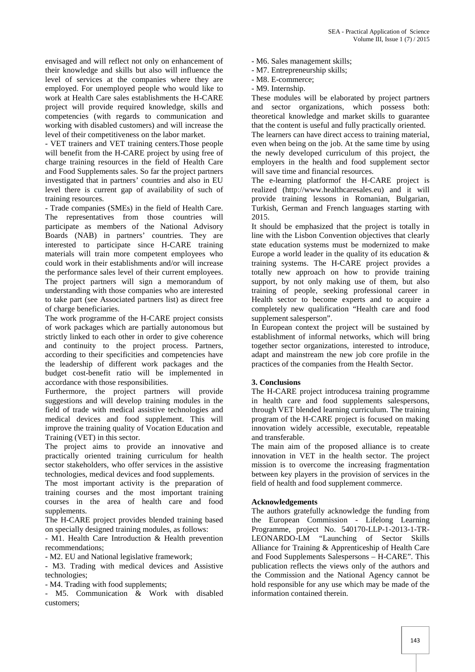envisaged and will reflect not only on enhancement of their knowledge and skills but also will influence the level of services at the companies where they are employed. For unemployed people who would like to work at Health Care sales establishments the H-CARE project will provide required knowledge, skills and competencies (with regards to communication and working with disabled customers) and will increase the level of their competitiveness on the labor market.

- VET trainers and VET training centers.Those people will benefit from the H-CARE project by using free of charge training resources in the field of Health Care and Food Supplements sales. So far the project partners investigated that in partners' countries and also in EU level there is current gap of availability of such of training resources.

- Trade companies (SMEs) in the field of Health Care. The representatives from those countries will participate as members of the National Advisory Boards (NAB) in partners' countries. They are interested to participate since H-CARE training materials will train more competent employees who could work in their establishments and/or will increase the performance sales level of their current employees. The project partners will sign a memorandum of understanding with those companies who are interested to take part (see Associated partners list) as direct free of charge beneficiaries.

The work programme of the H-CARE project consists of work packages which are partially autonomous but strictly linked to each other in order to give coherence and continuity to the project process. Partners, according to their specificities and competencies have the leadership of different work packages and the budget cost-benefit ratio will be implemented in accordance with those responsibilities.

Furthermore, the project partners will provide suggestions and will develop training modules in the field of trade with medical assistive technologies and medical devices and food supplement. This will improve the training quality of Vocation Education and Training (VET) in this sector.

The project aims to provide an innovative and practically oriented training curriculum for health sector stakeholders, who offer services in the assistive technologies, medical devices and food supplements.

The most important activity is the preparation of training courses and the most important training courses in the area of health care and food supplements.

The H-CARE project provides blended training based on specially designed training modules, as follows:

- M1. Health Care Introduction & Health prevention recommendations;

- M2. EU and National legislative framework;

- M3. Trading with medical devices and Assistive technologies;

- M4. Trading with food supplements;

- M5. Communication & Work with disabled customers;

- M6. Sales management skills;
- M7. Entrepreneurship skills;
- M8. E-commerce;
- M9. Internship.

These modules will be elaborated by project partners and sector organizations, which possess both: theoretical knowledge and market skills to guarantee that the content is useful and fully practically oriented.

The learners can have direct access to training material, even when being on the job. At the same time by using the newly developed curriculum of this project, the employers in the health and food supplement sector will save time and financial resources.

The e-learning platformof the H-CARE project is realized (http://www.healthcaresales.eu) and it will provide training lessons in Romanian, Bulgarian, Turkish, German and French languages starting with 2015.

It should be emphasized that the project is totally in line with the Lisbon Convention objectives that clearly state education systems must be modernized to make Europe a world leader in the quality of its education & training systems. The H-CARE project provides a totally new approach on how to provide training support, by not only making use of them, but also training of people, seeking professional career in Health sector to become experts and to acquire a completely new qualification "Health care and food supplement salesperson".

In European context the project will be sustained by establishment of informal networks, which will bring together sector organizations, interested to introduce, adapt and mainstream the new job core profile in the practices of the companies from the Health Sector.

### **3. Conclusions**

The H-CARE project introducesa training programme in health care and food supplements salespersons, through VET blended learning curriculum. The training program of the H-CARE project is focused on making innovation widely accessible, executable, repeatable and transferable.

The main aim of the proposed alliance is to create innovation in VET in the health sector. The project mission is to overcome the increasing fragmentation between key players in the provision of services in the field of health and food supplement commerce.

#### **Acknowledgements**

The authors gratefully acknowledge the funding from the European Commission - Lifelong Learning Programme, project No. 540170-LLP-1-2013-1-TR- LEONARDO-LM "Launching of Sector Skills Alliance for Training & Apprenticeship of Health Care and Food Supplements Salespersons – H-CARE". This publication reflects the views only of the authors and the Commission and the National Agency cannot be hold responsible for any use which may be made of the information contained therein.